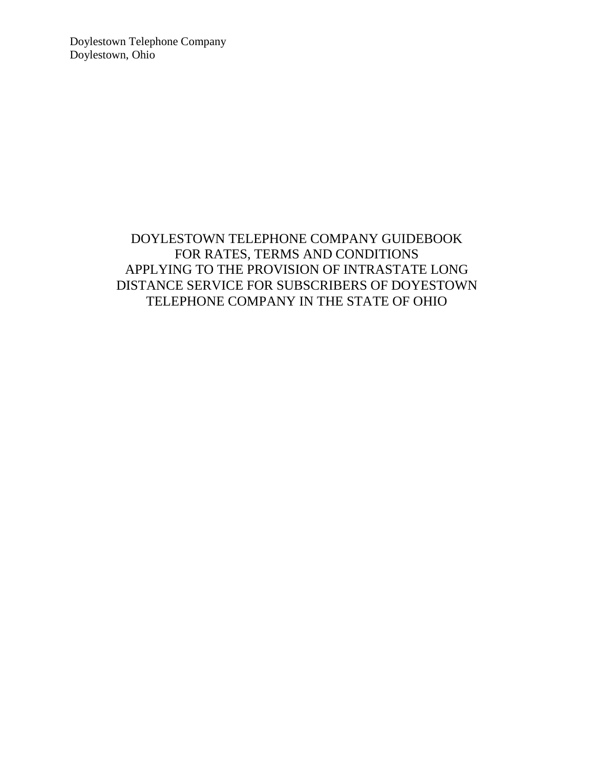Doylestown Telephone Company Doylestown, Ohio

## DOYLESTOWN TELEPHONE COMPANY GUIDEBOOK FOR RATES, TERMS AND CONDITIONS APPLYING TO THE PROVISION OF INTRASTATE LONG DISTANCE SERVICE FOR SUBSCRIBERS OF DOYESTOWN TELEPHONE COMPANY IN THE STATE OF OHIO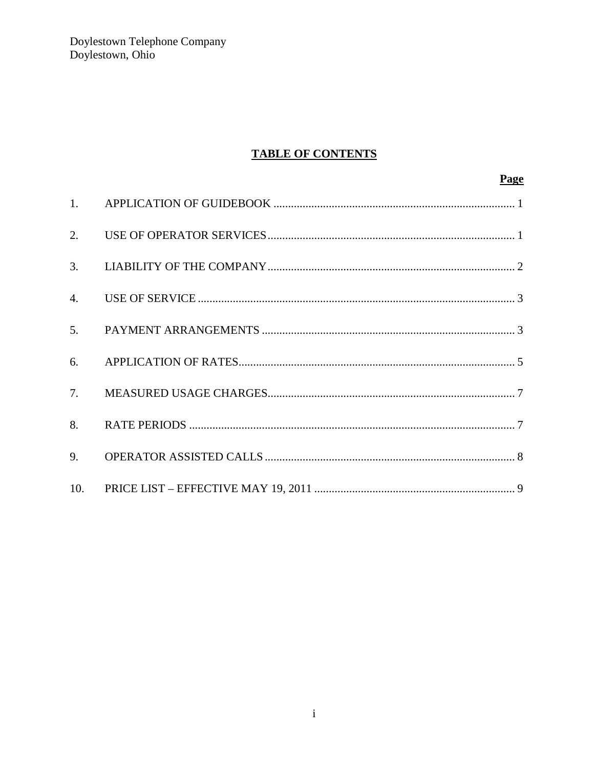Doylestown Telephone Company<br>Doylestown, Ohio

# **TABLE OF CONTENTS**

|    | <b>Page</b> |
|----|-------------|
|    |             |
| 2. |             |
| 3. |             |
|    |             |
| 5. |             |
| 6. |             |
| 7. |             |
| 8. |             |
| 9. |             |
|    |             |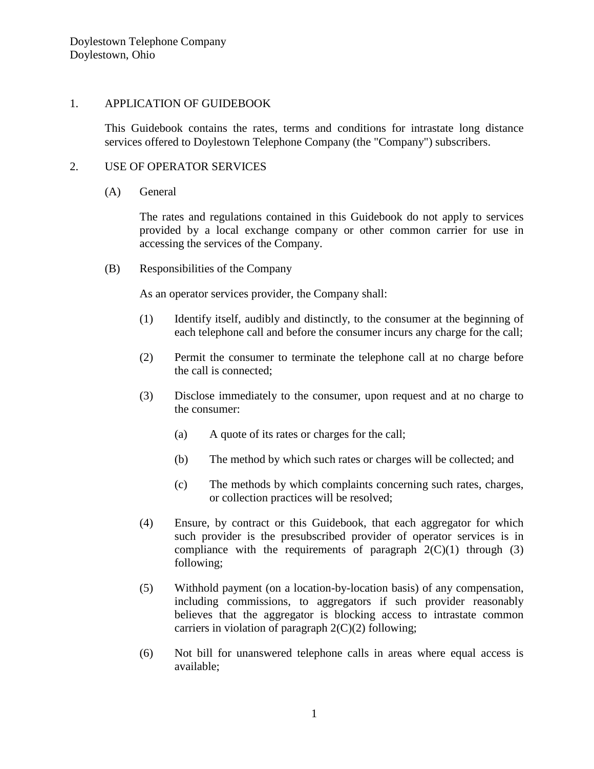### 1. APPLICATION OF GUIDEBOOK

This Guidebook contains the rates, terms and conditions for intrastate long distance services offered to Doylestown Telephone Company (the "Company") subscribers.

### 2. USE OF OPERATOR SERVICES

#### (A) General

The rates and regulations contained in this Guidebook do not apply to services provided by a local exchange company or other common carrier for use in accessing the services of the Company.

(B) Responsibilities of the Company

As an operator services provider, the Company shall:

- (1) Identify itself, audibly and distinctly, to the consumer at the beginning of each telephone call and before the consumer incurs any charge for the call;
- (2) Permit the consumer to terminate the telephone call at no charge before the call is connected;
- (3) Disclose immediately to the consumer, upon request and at no charge to the consumer:
	- (a) A quote of its rates or charges for the call;
	- (b) The method by which such rates or charges will be collected; and
	- (c) The methods by which complaints concerning such rates, charges, or collection practices will be resolved;
- (4) Ensure, by contract or this Guidebook, that each aggregator for which such provider is the presubscribed provider of operator services is in compliance with the requirements of paragraph  $2(C)(1)$  through (3) following;
- (5) Withhold payment (on a location-by-location basis) of any compensation, including commissions, to aggregators if such provider reasonably believes that the aggregator is blocking access to intrastate common carriers in violation of paragraph  $2(C)(2)$  following;
- (6) Not bill for unanswered telephone calls in areas where equal access is available;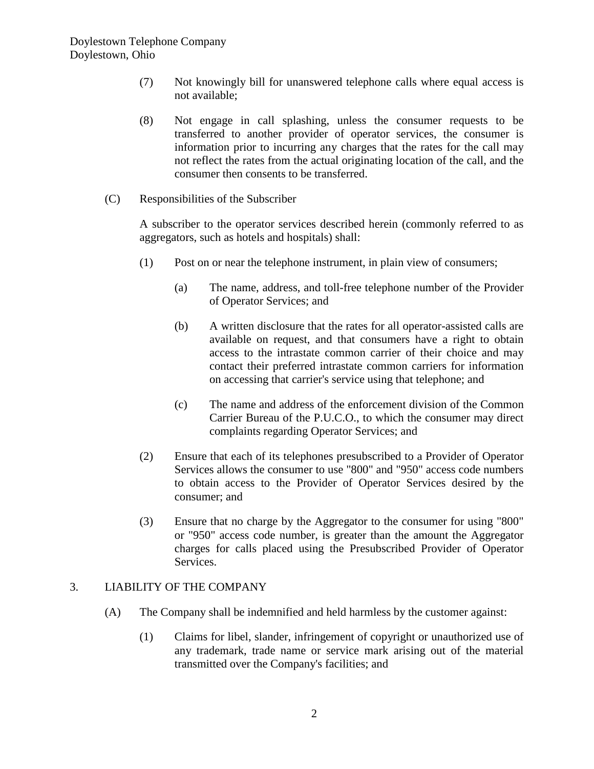- (7) Not knowingly bill for unanswered telephone calls where equal access is not available;
- (8) Not engage in call splashing, unless the consumer requests to be transferred to another provider of operator services, the consumer is information prior to incurring any charges that the rates for the call may not reflect the rates from the actual originating location of the call, and the consumer then consents to be transferred.
- (C) Responsibilities of the Subscriber

A subscriber to the operator services described herein (commonly referred to as aggregators, such as hotels and hospitals) shall:

- (1) Post on or near the telephone instrument, in plain view of consumers;
	- (a) The name, address, and toll-free telephone number of the Provider of Operator Services; and
	- (b) A written disclosure that the rates for all operator-assisted calls are available on request, and that consumers have a right to obtain access to the intrastate common carrier of their choice and may contact their preferred intrastate common carriers for information on accessing that carrier's service using that telephone; and
	- (c) The name and address of the enforcement division of the Common Carrier Bureau of the P.U.C.O., to which the consumer may direct complaints regarding Operator Services; and
- (2) Ensure that each of its telephones presubscribed to a Provider of Operator Services allows the consumer to use "800" and "950" access code numbers to obtain access to the Provider of Operator Services desired by the consumer; and
- (3) Ensure that no charge by the Aggregator to the consumer for using "800" or "950" access code number, is greater than the amount the Aggregator charges for calls placed using the Presubscribed Provider of Operator Services.

## 3. LIABILITY OF THE COMPANY

- (A) The Company shall be indemnified and held harmless by the customer against:
	- (1) Claims for libel, slander, infringement of copyright or unauthorized use of any trademark, trade name or service mark arising out of the material transmitted over the Company's facilities; and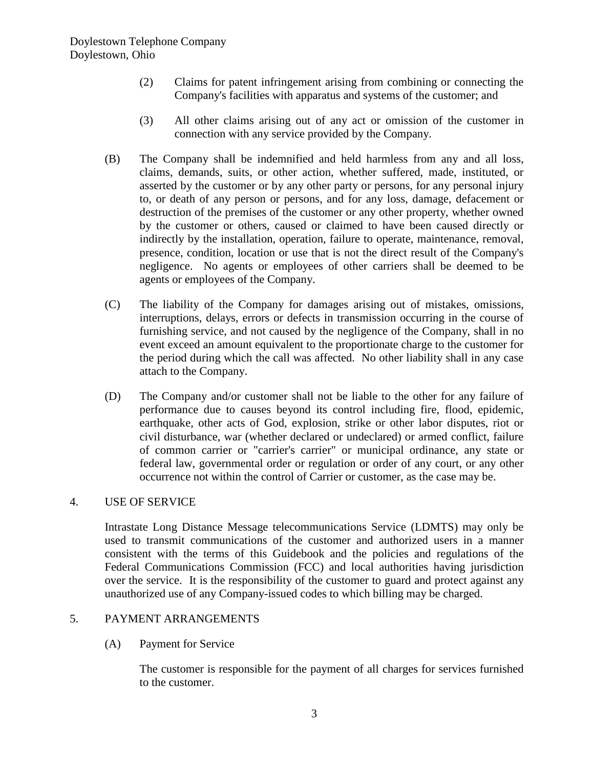- (2) Claims for patent infringement arising from combining or connecting the Company's facilities with apparatus and systems of the customer; and
- (3) All other claims arising out of any act or omission of the customer in connection with any service provided by the Company.
- (B) The Company shall be indemnified and held harmless from any and all loss, claims, demands, suits, or other action, whether suffered, made, instituted, or asserted by the customer or by any other party or persons, for any personal injury to, or death of any person or persons, and for any loss, damage, defacement or destruction of the premises of the customer or any other property, whether owned by the customer or others, caused or claimed to have been caused directly or indirectly by the installation, operation, failure to operate, maintenance, removal, presence, condition, location or use that is not the direct result of the Company's negligence. No agents or employees of other carriers shall be deemed to be agents or employees of the Company.
- (C) The liability of the Company for damages arising out of mistakes, omissions, interruptions, delays, errors or defects in transmission occurring in the course of furnishing service, and not caused by the negligence of the Company, shall in no event exceed an amount equivalent to the proportionate charge to the customer for the period during which the call was affected. No other liability shall in any case attach to the Company.
- (D) The Company and/or customer shall not be liable to the other for any failure of performance due to causes beyond its control including fire, flood, epidemic, earthquake, other acts of God, explosion, strike or other labor disputes, riot or civil disturbance, war (whether declared or undeclared) or armed conflict, failure of common carrier or "carrier's carrier" or municipal ordinance, any state or federal law, governmental order or regulation or order of any court, or any other occurrence not within the control of Carrier or customer, as the case may be.

### 4. USE OF SERVICE

Intrastate Long Distance Message telecommunications Service (LDMTS) may only be used to transmit communications of the customer and authorized users in a manner consistent with the terms of this Guidebook and the policies and regulations of the Federal Communications Commission (FCC) and local authorities having jurisdiction over the service. It is the responsibility of the customer to guard and protect against any unauthorized use of any Company-issued codes to which billing may be charged.

### 5. PAYMENT ARRANGEMENTS

(A) Payment for Service

The customer is responsible for the payment of all charges for services furnished to the customer.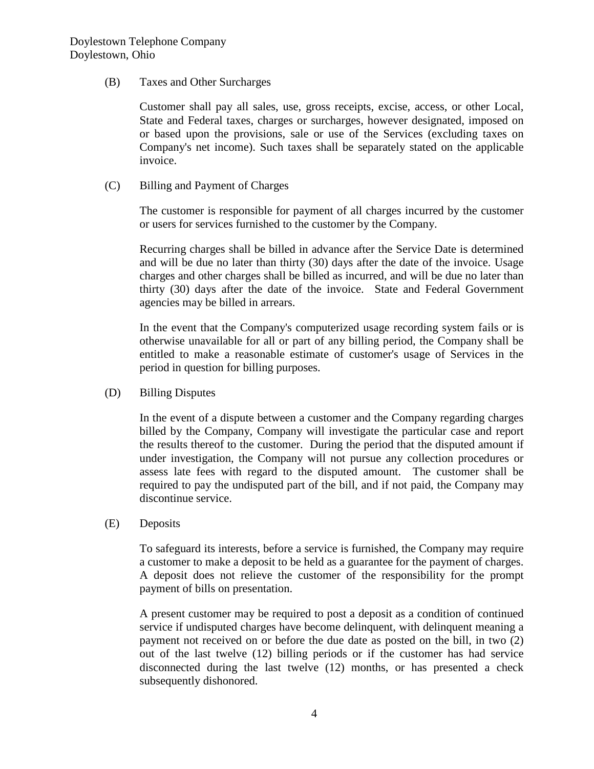(B) Taxes and Other Surcharges

Customer shall pay all sales, use, gross receipts, excise, access, or other Local, State and Federal taxes, charges or surcharges, however designated, imposed on or based upon the provisions, sale or use of the Services (excluding taxes on Company's net income). Such taxes shall be separately stated on the applicable invoice.

(C) Billing and Payment of Charges

The customer is responsible for payment of all charges incurred by the customer or users for services furnished to the customer by the Company.

Recurring charges shall be billed in advance after the Service Date is determined and will be due no later than thirty (30) days after the date of the invoice. Usage charges and other charges shall be billed as incurred, and will be due no later than thirty (30) days after the date of the invoice. State and Federal Government agencies may be billed in arrears.

In the event that the Company's computerized usage recording system fails or is otherwise unavailable for all or part of any billing period, the Company shall be entitled to make a reasonable estimate of customer's usage of Services in the period in question for billing purposes.

(D) Billing Disputes

In the event of a dispute between a customer and the Company regarding charges billed by the Company, Company will investigate the particular case and report the results thereof to the customer. During the period that the disputed amount if under investigation, the Company will not pursue any collection procedures or assess late fees with regard to the disputed amount. The customer shall be required to pay the undisputed part of the bill, and if not paid, the Company may discontinue service.

(E) Deposits

To safeguard its interests, before a service is furnished, the Company may require a customer to make a deposit to be held as a guarantee for the payment of charges. A deposit does not relieve the customer of the responsibility for the prompt payment of bills on presentation.

A present customer may be required to post a deposit as a condition of continued service if undisputed charges have become delinquent, with delinquent meaning a payment not received on or before the due date as posted on the bill, in two (2) out of the last twelve (12) billing periods or if the customer has had service disconnected during the last twelve (12) months, or has presented a check subsequently dishonored.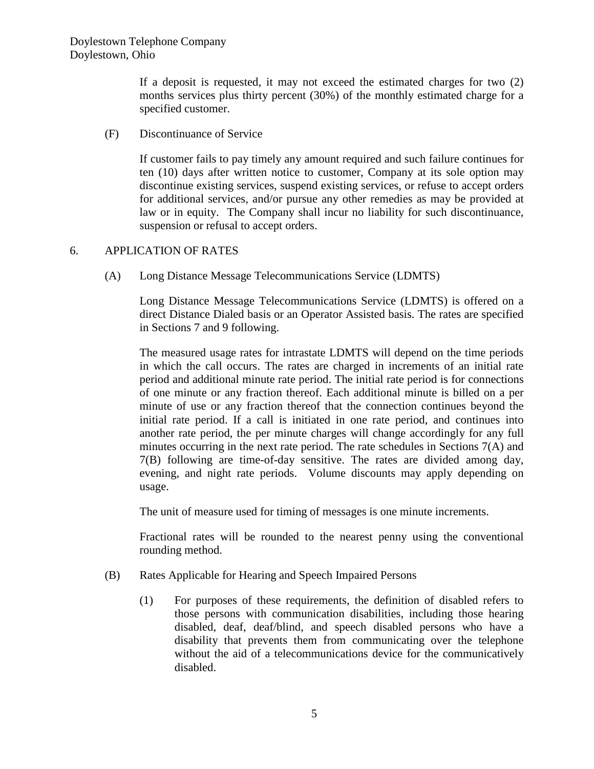If a deposit is requested, it may not exceed the estimated charges for two (2) months services plus thirty percent (30%) of the monthly estimated charge for a specified customer.

(F) Discontinuance of Service

If customer fails to pay timely any amount required and such failure continues for ten (10) days after written notice to customer, Company at its sole option may discontinue existing services, suspend existing services, or refuse to accept orders for additional services, and/or pursue any other remedies as may be provided at law or in equity. The Company shall incur no liability for such discontinuance, suspension or refusal to accept orders.

## 6. APPLICATION OF RATES

(A) Long Distance Message Telecommunications Service (LDMTS)

Long Distance Message Telecommunications Service (LDMTS) is offered on a direct Distance Dialed basis or an Operator Assisted basis. The rates are specified in Sections 7 and 9 following.

The measured usage rates for intrastate LDMTS will depend on the time periods in which the call occurs. The rates are charged in increments of an initial rate period and additional minute rate period. The initial rate period is for connections of one minute or any fraction thereof. Each additional minute is billed on a per minute of use or any fraction thereof that the connection continues beyond the initial rate period. If a call is initiated in one rate period, and continues into another rate period, the per minute charges will change accordingly for any full minutes occurring in the next rate period. The rate schedules in Sections 7(A) and 7(B) following are time-of-day sensitive. The rates are divided among day, evening, and night rate periods. Volume discounts may apply depending on usage.

The unit of measure used for timing of messages is one minute increments.

Fractional rates will be rounded to the nearest penny using the conventional rounding method.

- (B) Rates Applicable for Hearing and Speech Impaired Persons
	- (1) For purposes of these requirements, the definition of disabled refers to those persons with communication disabilities, including those hearing disabled, deaf, deaf/blind, and speech disabled persons who have a disability that prevents them from communicating over the telephone without the aid of a telecommunications device for the communicatively disabled.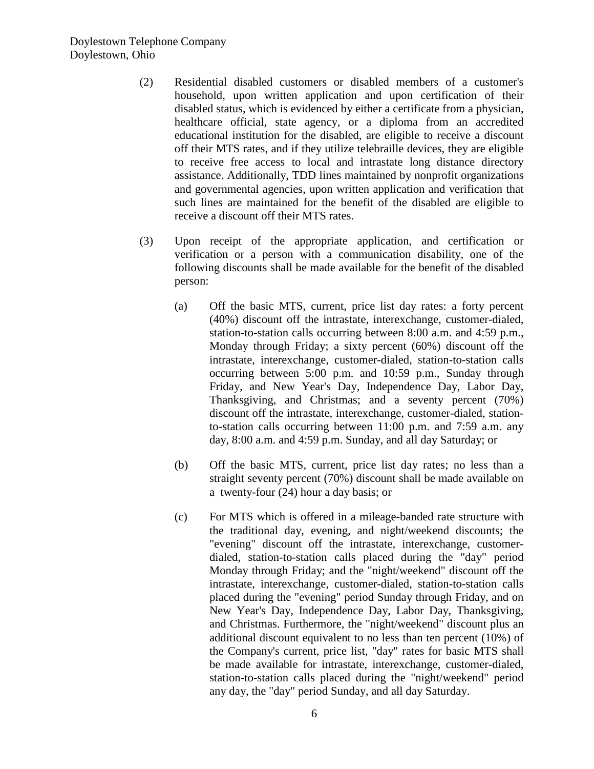- (2) Residential disabled customers or disabled members of a customer's household, upon written application and upon certification of their disabled status, which is evidenced by either a certificate from a physician, healthcare official, state agency, or a diploma from an accredited educational institution for the disabled, are eligible to receive a discount off their MTS rates, and if they utilize telebraille devices, they are eligible to receive free access to local and intrastate long distance directory assistance. Additionally, TDD lines maintained by nonprofit organizations and governmental agencies, upon written application and verification that such lines are maintained for the benefit of the disabled are eligible to receive a discount off their MTS rates.
- (3) Upon receipt of the appropriate application, and certification or verification or a person with a communication disability, one of the following discounts shall be made available for the benefit of the disabled person:
	- (a) Off the basic MTS, current, price list day rates: a forty percent (40%) discount off the intrastate, interexchange, customer-dialed, station-to-station calls occurring between 8:00 a.m. and 4:59 p.m., Monday through Friday; a sixty percent (60%) discount off the intrastate, interexchange, customer-dialed, station-to-station calls occurring between 5:00 p.m. and 10:59 p.m., Sunday through Friday, and New Year's Day, Independence Day, Labor Day, Thanksgiving, and Christmas; and a seventy percent (70%) discount off the intrastate, interexchange, customer-dialed, stationto-station calls occurring between 11:00 p.m. and 7:59 a.m. any day, 8:00 a.m. and 4:59 p.m. Sunday, and all day Saturday; or
	- (b) Off the basic MTS, current, price list day rates; no less than a straight seventy percent (70%) discount shall be made available on a twenty-four (24) hour a day basis; or
	- (c) For MTS which is offered in a mileage-banded rate structure with the traditional day, evening, and night/weekend discounts; the "evening" discount off the intrastate, interexchange, customerdialed, station-to-station calls placed during the "day" period Monday through Friday; and the "night/weekend" discount off the intrastate, interexchange, customer-dialed, station-to-station calls placed during the "evening" period Sunday through Friday, and on New Year's Day, Independence Day, Labor Day, Thanksgiving, and Christmas. Furthermore, the "night/weekend" discount plus an additional discount equivalent to no less than ten percent (10%) of the Company's current, price list, "day" rates for basic MTS shall be made available for intrastate, interexchange, customer-dialed, station-to-station calls placed during the "night/weekend" period any day, the "day" period Sunday, and all day Saturday.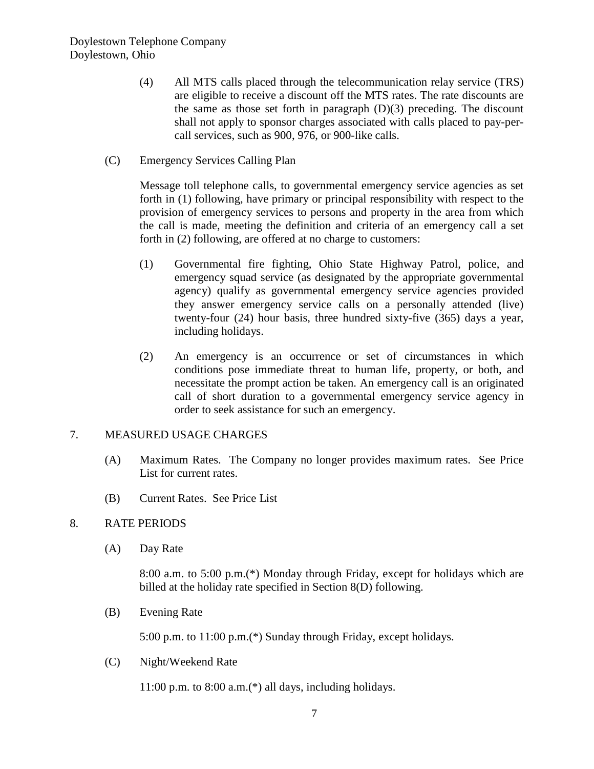- (4) All MTS calls placed through the telecommunication relay service (TRS) are eligible to receive a discount off the MTS rates. The rate discounts are the same as those set forth in paragraph  $(D)(3)$  preceding. The discount shall not apply to sponsor charges associated with calls placed to pay-percall services, such as 900, 976, or 900-like calls.
- (C) Emergency Services Calling Plan

Message toll telephone calls, to governmental emergency service agencies as set forth in (1) following, have primary or principal responsibility with respect to the provision of emergency services to persons and property in the area from which the call is made, meeting the definition and criteria of an emergency call a set forth in (2) following, are offered at no charge to customers:

- (1) Governmental fire fighting, Ohio State Highway Patrol, police, and emergency squad service (as designated by the appropriate governmental agency) qualify as governmental emergency service agencies provided they answer emergency service calls on a personally attended (live) twenty-four (24) hour basis, three hundred sixty-five (365) days a year, including holidays.
- (2) An emergency is an occurrence or set of circumstances in which conditions pose immediate threat to human life, property, or both, and necessitate the prompt action be taken. An emergency call is an originated call of short duration to a governmental emergency service agency in order to seek assistance for such an emergency.

## 7. MEASURED USAGE CHARGES

- (A) Maximum Rates. The Company no longer provides maximum rates. See Price List for current rates.
- (B) Current Rates. See Price List

## 8. RATE PERIODS

(A) Day Rate

8:00 a.m. to 5:00 p.m.(\*) Monday through Friday, except for holidays which are billed at the holiday rate specified in Section 8(D) following.

(B) Evening Rate

5:00 p.m. to 11:00 p.m.(\*) Sunday through Friday, except holidays.

(C) Night/Weekend Rate

11:00 p.m. to 8:00 a.m.(\*) all days, including holidays.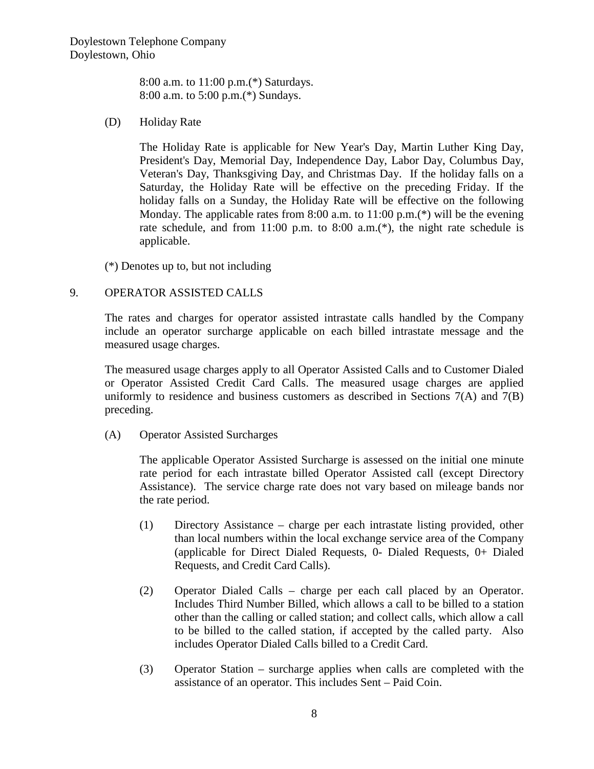8:00 a.m. to 11:00 p.m.(\*) Saturdays. 8:00 a.m. to 5:00 p.m.(\*) Sundays.

#### (D) Holiday Rate

The Holiday Rate is applicable for New Year's Day, Martin Luther King Day, President's Day, Memorial Day, Independence Day, Labor Day, Columbus Day, Veteran's Day, Thanksgiving Day, and Christmas Day. If the holiday falls on a Saturday, the Holiday Rate will be effective on the preceding Friday. If the holiday falls on a Sunday, the Holiday Rate will be effective on the following Monday. The applicable rates from 8:00 a.m. to  $11:00$  p.m.(\*) will be the evening rate schedule, and from 11:00 p.m. to 8:00 a.m.<sup>(\*)</sup>, the night rate schedule is applicable.

(\*) Denotes up to, but not including

### 9. OPERATOR ASSISTED CALLS

The rates and charges for operator assisted intrastate calls handled by the Company include an operator surcharge applicable on each billed intrastate message and the measured usage charges.

The measured usage charges apply to all Operator Assisted Calls and to Customer Dialed or Operator Assisted Credit Card Calls. The measured usage charges are applied uniformly to residence and business customers as described in Sections  $7(A)$  and  $7(B)$ preceding.

(A) Operator Assisted Surcharges

The applicable Operator Assisted Surcharge is assessed on the initial one minute rate period for each intrastate billed Operator Assisted call (except Directory Assistance). The service charge rate does not vary based on mileage bands nor the rate period.

- (1) Directory Assistance charge per each intrastate listing provided, other than local numbers within the local exchange service area of the Company (applicable for Direct Dialed Requests, 0- Dialed Requests, 0+ Dialed Requests, and Credit Card Calls).
- (2) Operator Dialed Calls charge per each call placed by an Operator. Includes Third Number Billed, which allows a call to be billed to a station other than the calling or called station; and collect calls, which allow a call to be billed to the called station, if accepted by the called party. Also includes Operator Dialed Calls billed to a Credit Card.
- (3) Operator Station surcharge applies when calls are completed with the assistance of an operator. This includes Sent – Paid Coin.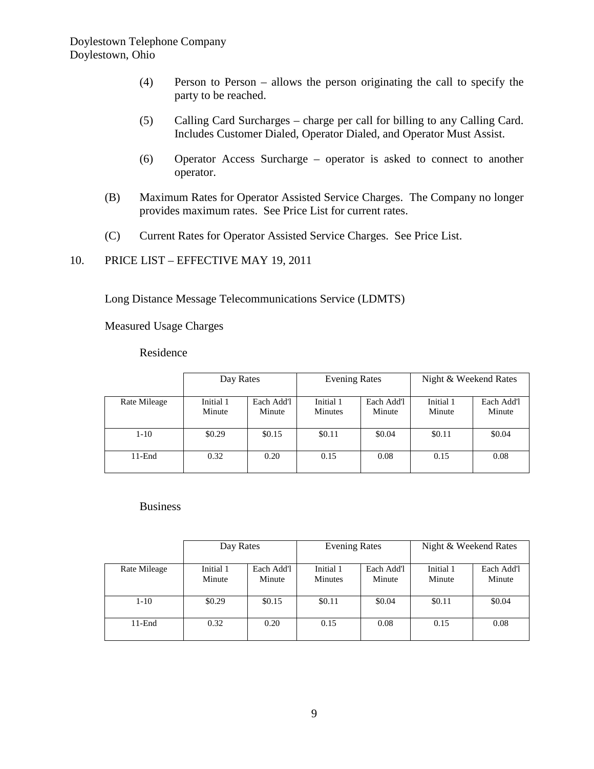- (4) Person to Person allows the person originating the call to specify the party to be reached.
- (5) Calling Card Surcharges charge per call for billing to any Calling Card. Includes Customer Dialed, Operator Dialed, and Operator Must Assist.
- (6) Operator Access Surcharge operator is asked to connect to another operator.
- (B) Maximum Rates for Operator Assisted Service Charges. The Company no longer provides maximum rates. See Price List for current rates.
- (C) Current Rates for Operator Assisted Service Charges. See Price List.
- 10. PRICE LIST EFFECTIVE MAY 19, 2011

Long Distance Message Telecommunications Service (LDMTS)

Measured Usage Charges

#### Residence

|              | Day Rates           |                      | <b>Evening Rates</b>        |                      | Night & Weekend Rates |                      |
|--------------|---------------------|----------------------|-----------------------------|----------------------|-----------------------|----------------------|
| Rate Mileage | Initial 1<br>Minute | Each Add'l<br>Minute | Initial 1<br><b>Minutes</b> | Each Add'l<br>Minute | Initial 1<br>Minute   | Each Add'l<br>Minute |
| $1 - 10$     | \$0.29              | \$0.15               | \$0.11                      | \$0.04               | \$0.11                | \$0.04               |
| $11$ -End    | 0.32                | 0.20                 | 0.15                        | 0.08                 | 0.15                  | 0.08                 |

Business

|              | Day Rates           |                      | <b>Evening Rates</b>        |                      | Night & Weekend Rates |                      |
|--------------|---------------------|----------------------|-----------------------------|----------------------|-----------------------|----------------------|
| Rate Mileage | Initial 1<br>Minute | Each Add'l<br>Minute | Initial 1<br><b>Minutes</b> | Each Add'l<br>Minute | Initial 1<br>Minute   | Each Add'l<br>Minute |
| $1-10$       | \$0.29              | \$0.15               | \$0.11                      | \$0.04               | \$0.11                | \$0.04               |
| $11$ -End    | 0.32                | 0.20                 | 0.15                        | 0.08                 | 0.15                  | 0.08                 |